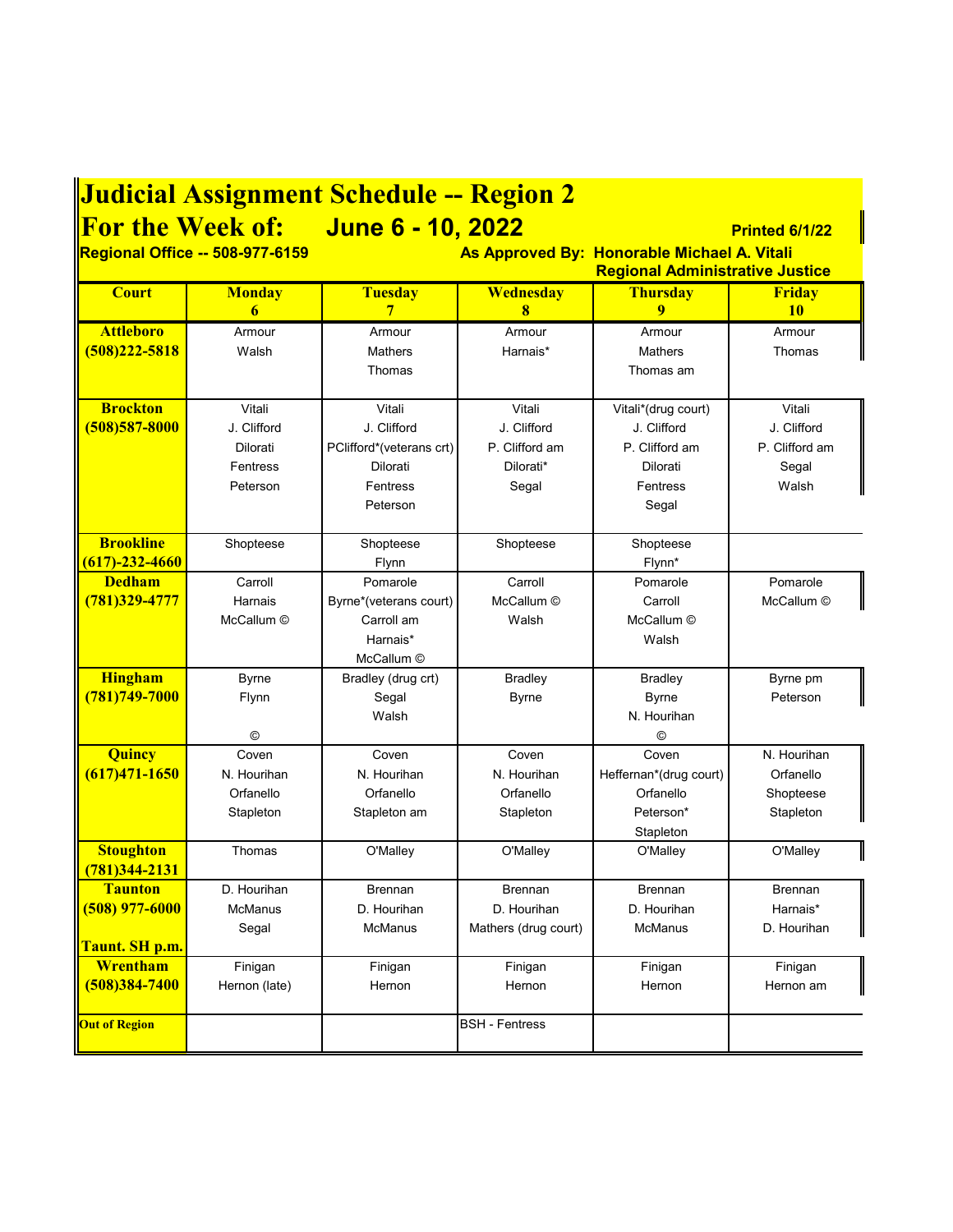## **Judicial Assignment Schedule -- Region 2**

**For the Week of: June 6 - 10, 2022 Printed 6/1/22**

**Regional Office -- 508-977-6159 As Approved By: Honorable Michael A. Vitali Regional Administrative Justice**

| <b>Court</b>                | <b>Monday</b>  | <b>Tuesday</b>           | Wednesday             | <b>Thursday</b>        | Friday         |
|-----------------------------|----------------|--------------------------|-----------------------|------------------------|----------------|
|                             | 6              | $\overline{7}$           | 8                     | 9                      | 10             |
| <b>Attleboro</b>            | Armour         | Armour                   | Armour                | Armour                 | Armour         |
| $(508)222 - 5818$           | Walsh          | <b>Mathers</b>           | Harnais*              | <b>Mathers</b>         | Thomas         |
|                             |                | Thomas                   |                       | Thomas am              |                |
| <b>Brockton</b>             | Vitali         | Vitali                   | Vitali                | Vitali*(drug court)    | Vitali         |
| $(508)$ 587-8000            | J. Clifford    | J. Clifford              | J. Clifford           | J. Clifford            | J. Clifford    |
|                             | Dilorati       | PClifford*(veterans crt) | P. Clifford am        | P. Clifford am         | P. Clifford am |
|                             | Fentress       | Dilorati                 | Dilorati*             | Dilorati               | Segal          |
|                             | Peterson       | Fentress                 | Segal                 | Fentress               | Walsh          |
|                             |                | Peterson                 |                       | Segal                  |                |
|                             |                |                          |                       |                        |                |
| <b>Brookline</b>            | Shopteese      | Shopteese                | Shopteese             | Shopteese              |                |
| $(617) - 232 - 4660$        |                | Flynn                    |                       | Flynn*                 |                |
| <b>Dedham</b>               | Carroll        | Pomarole                 | Carroll               | Pomarole               | Pomarole       |
| 781)329-4777                | Harnais        | Byrne*(veterans court)   | McCallum ©            | Carroll                | McCallum ©     |
|                             | McCallum ©     | Carroll am               | Walsh                 | McCallum ©             |                |
|                             |                | Harnais*                 |                       | Walsh                  |                |
|                             |                | McCallum ©               |                       |                        |                |
| <b>Hingham</b>              | <b>Byrne</b>   | Bradley (drug crt)       | <b>Bradley</b>        | <b>Bradley</b>         | Byrne pm       |
| $(781)749 - 7000$           | Flynn          | Segal                    | <b>Byrne</b>          | <b>Byrne</b>           | Peterson       |
|                             |                | Walsh                    |                       | N. Hourihan            |                |
|                             | ©              |                          |                       | $^{\circ}$             |                |
| Quincy                      | Coven          | Coven                    | Coven                 | Coven                  | N. Hourihan    |
| $(617)471 - 1650$           | N. Hourihan    | N. Hourihan              | N. Hourihan           | Heffernan*(drug court) | Orfanello      |
|                             | Orfanello      | Orfanello                | Orfanello             | Orfanello              | Shopteese      |
|                             | Stapleton      | Stapleton am             | Stapleton             | Peterson*              | Stapleton      |
| <b>Stoughton</b>            | Thomas         | O'Malley                 | O'Malley              | Stapleton<br>O'Malley  | O'Malley       |
| (781)344-2131               |                |                          |                       |                        |                |
| <b>Taunton</b>              | D. Hourihan    | <b>Brennan</b>           | <b>Brennan</b>        | <b>Brennan</b>         | <b>Brennan</b> |
| $(508)$ 977-6000            | <b>McManus</b> | D. Hourihan              | D. Hourihan           | D. Hourihan            | Harnais*       |
|                             | Segal          | <b>McManus</b>           | Mathers (drug court)  | <b>McManus</b>         | D. Hourihan    |
| <mark>Taunt. SH p.m.</mark> |                |                          |                       |                        |                |
| <b>Wrentham</b>             | Finigan        | Finigan                  | Finigan               | Finigan                | Finigan        |
| $(508)384 - 7400$           | Hernon (late)  | Hernon                   | Hernon                | Hernon                 | Hernon am      |
|                             |                |                          |                       |                        |                |
| <b>Out of Region</b>        |                |                          | <b>BSH - Fentress</b> |                        |                |
|                             |                |                          |                       |                        |                |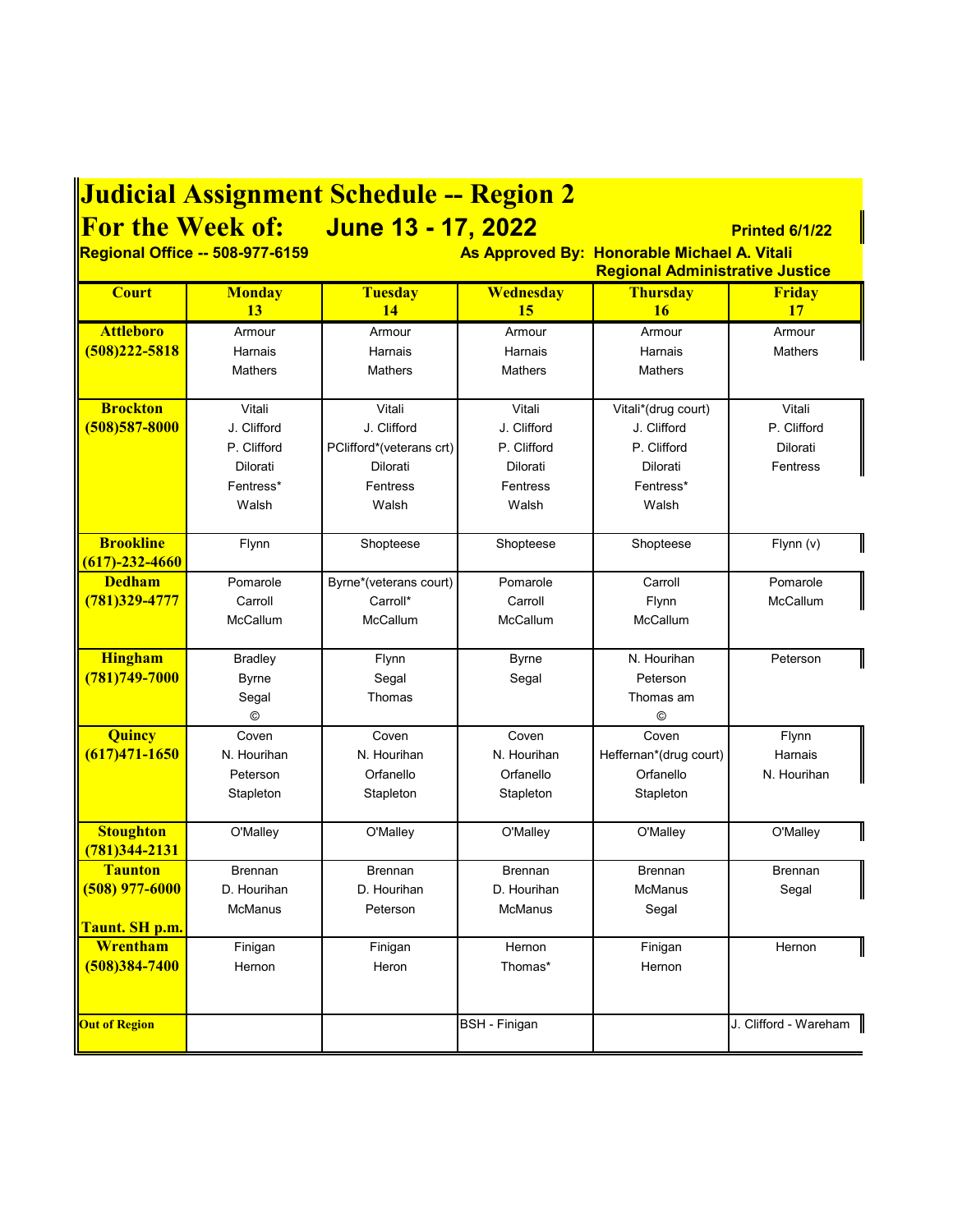| <b>Judicial Assignment Schedule -- Region 2</b>                                       |                     |                                        |                      |                          |                       |  |
|---------------------------------------------------------------------------------------|---------------------|----------------------------------------|----------------------|--------------------------|-----------------------|--|
|                                                                                       |                     | For the Week of: June 13 - 17, 2022    |                      |                          | Printed 6/1/22        |  |
| <b>Regional Office -- 508-977-6159</b><br>As Approved By: Honorable Michael A. Vitali |                     |                                        |                      |                          |                       |  |
|                                                                                       |                     | <b>Regional Administrative Justice</b> |                      |                          |                       |  |
| <b>Court</b>                                                                          | <b>Monday</b>       | <b>Tuesday</b>                         | <b>Wednesday</b>     | <b>Thursday</b>          | <b>Friday</b>         |  |
|                                                                                       | 13                  | 14                                     | 15                   | <b>16</b>                | 17                    |  |
| <b>Attleboro</b>                                                                      | Armour              | Armour                                 | Armour               | Armour                   | Armour                |  |
| $(508)222 - 5818$                                                                     | Harnais             | Harnais                                | Harnais              | Harnais                  | <b>Mathers</b>        |  |
|                                                                                       | <b>Mathers</b>      | <b>Mathers</b>                         | <b>Mathers</b>       | <b>Mathers</b>           |                       |  |
| <b>Brockton</b>                                                                       | Vitali              | Vitali                                 | Vitali               | Vitali*(drug court)      | Vitali                |  |
| $(508)$ 587-8000                                                                      | J. Clifford         | J. Clifford                            | J. Clifford          | J. Clifford              | P. Clifford           |  |
|                                                                                       | P. Clifford         | PClifford*(veterans crt)               | P. Clifford          | P. Clifford              | Dilorati              |  |
|                                                                                       | Dilorati            | Dilorati                               | Dilorati             | Dilorati                 | Fentress              |  |
|                                                                                       | Fentress*           | <b>Fentress</b>                        | Fentress             | Fentress*                |                       |  |
|                                                                                       | Walsh               | Walsh                                  | Walsh                | Walsh                    |                       |  |
|                                                                                       |                     |                                        |                      |                          |                       |  |
| <b>Brookline</b>                                                                      | Flynn               | Shopteese                              | Shopteese            | Shopteese                | Flynn (v)             |  |
| $(617) - 232 - 4660$<br><b>Dedham</b>                                                 |                     |                                        |                      |                          | Pomarole              |  |
| $(781)329 - 4777$                                                                     | Pomarole<br>Carroll | Byrne*(veterans court)<br>Carroll*     | Pomarole<br>Carroll  | Carroll                  | McCallum              |  |
|                                                                                       | McCallum            | McCallum                               | McCallum             | Flynn<br><b>McCallum</b> |                       |  |
|                                                                                       |                     |                                        |                      |                          |                       |  |
| <b>Hingham</b>                                                                        | <b>Bradley</b>      | Flynn                                  | <b>Byrne</b>         | N. Hourihan              | Peterson              |  |
| (781) 749-7000                                                                        | <b>Byrne</b>        | Segal                                  | Segal                | Peterson                 |                       |  |
|                                                                                       | Segal               | Thomas                                 |                      | Thomas am                |                       |  |
|                                                                                       | $\odot$             |                                        |                      | $\circledcirc$           |                       |  |
| Quincy                                                                                | Coven               | Coven                                  | Coven                | Coven                    | Flynn                 |  |
| $(617)471 - 1650$                                                                     | N. Hourihan         | N. Hourihan                            | N. Hourihan          | Heffernan*(drug court)   | Harnais               |  |
|                                                                                       | Peterson            | Orfanello                              | Orfanello            | Orfanello                | N. Hourihan           |  |
|                                                                                       | Stapleton           | Stapleton                              | Stapleton            | Stapleton                |                       |  |
| <b>Stoughton</b>                                                                      | O'Malley            | O'Malley                               | O'Malley             | O'Malley                 | O'Malley              |  |
| $(781)344 - 2131$                                                                     |                     |                                        |                      |                          |                       |  |
| <b>Taunton</b>                                                                        | <b>Brennan</b>      | <b>Brennan</b>                         | <b>Brennan</b>       | <b>Brennan</b>           | <b>Brennan</b>        |  |
| $(508)$ 977-6000                                                                      | D. Hourihan         | D. Hourihan                            | D. Hourihan          | <b>McManus</b>           | Segal                 |  |
|                                                                                       | <b>McManus</b>      | Peterson                               | <b>McManus</b>       | Segal                    |                       |  |
| <mark>Taunt. SH p.m.</mark>                                                           |                     |                                        |                      |                          |                       |  |
| Wrentham                                                                              | Finigan             | Finigan                                | Hernon               | Finigan                  | Hernon                |  |
| $(508)384 - 7400$                                                                     | Hernon              | Heron                                  | Thomas*              | Hernon                   |                       |  |
|                                                                                       |                     |                                        |                      |                          |                       |  |
| <b>Out of Region</b>                                                                  |                     |                                        | <b>BSH</b> - Finigan |                          | J. Clifford - Wareham |  |
|                                                                                       |                     |                                        |                      |                          |                       |  |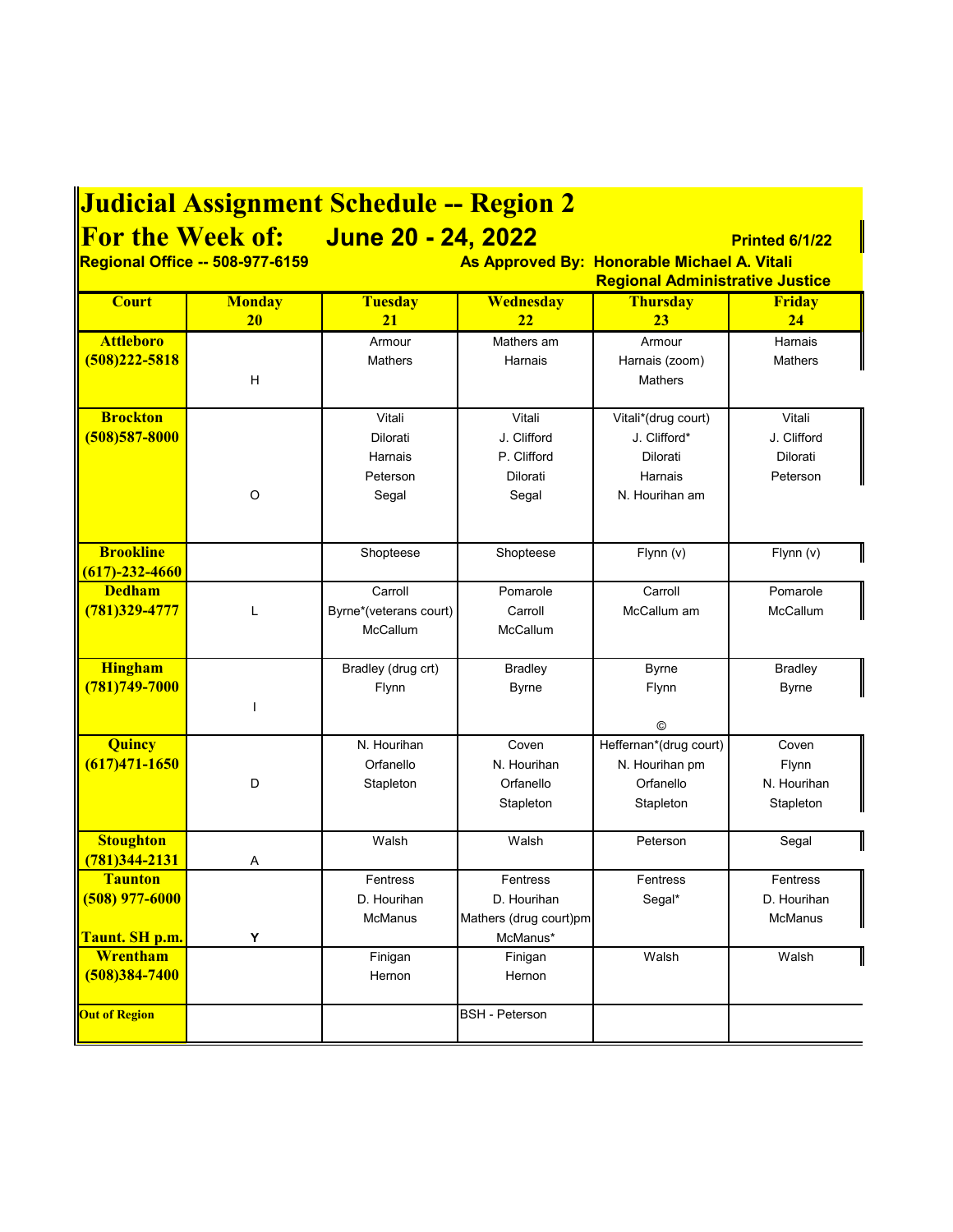| <b>Judicial Assignment Schedule -- Region 2</b>      |                                                                                                                                                                                   |                                                    |                                                               |                                                                              |                                               |
|------------------------------------------------------|-----------------------------------------------------------------------------------------------------------------------------------------------------------------------------------|----------------------------------------------------|---------------------------------------------------------------|------------------------------------------------------------------------------|-----------------------------------------------|
|                                                      | For the Week of: June 20 - 24, 2022<br>Printed 6/1/22<br>Regional Office -- 508-977-6159<br>As Approved By: Honorable Michael A. Vitali<br><b>Regional Administrative Justice</b> |                                                    |                                                               |                                                                              |                                               |
| <b>Court</b>                                         | <b>Monday</b><br>20                                                                                                                                                               | <b>Tuesday</b><br>21                               | Wednesday<br>22                                               | <b>Thursday</b><br>23                                                        | <b>Friday</b><br>24                           |
| <b>Attleboro</b><br>$(508)222 - 5818$                | H                                                                                                                                                                                 | Armour<br><b>Mathers</b>                           | Mathers am<br>Harnais                                         | Armour<br>Harnais (zoom)<br><b>Mathers</b>                                   | Harnais<br><b>Mathers</b>                     |
| <b>Brockton</b><br>$(508)$ 587-8000                  | O                                                                                                                                                                                 | Vitali<br>Dilorati<br>Harnais<br>Peterson<br>Segal | Vitali<br>J. Clifford<br>P. Clifford<br>Dilorati<br>Segal     | Vitali*(drug court)<br>J. Clifford*<br>Dilorati<br>Harnais<br>N. Hourihan am | Vitali<br>J. Clifford<br>Dilorati<br>Peterson |
| <b>Brookline</b><br>$(617) - 232 - 4660$             |                                                                                                                                                                                   | Shopteese                                          | Shopteese                                                     | Flynn(v)                                                                     | Flynn (v)                                     |
| <b>Dedham</b><br>(781)329-4777                       | L                                                                                                                                                                                 | Carroll<br>Byrne*(veterans court)<br>McCallum      | Pomarole<br>Carroll<br>McCallum                               | Carroll<br>McCallum am                                                       | Pomarole<br>McCallum                          |
| <b>Hingham</b><br>$(781)749 - 7000$                  | ı                                                                                                                                                                                 | Bradley (drug crt)<br>Flynn                        | <b>Bradley</b><br><b>Byrne</b>                                | <b>Byrne</b><br>Flynn<br>©                                                   | <b>Bradley</b><br><b>Byrne</b>                |
| Quincy<br>$(617)471 - 1650$                          | D                                                                                                                                                                                 | N. Hourihan<br>Orfanello<br>Stapleton              | Coven<br>N. Hourihan<br>Orfanello<br>Stapleton                | Heffernan*(drug court)<br>N. Hourihan pm<br>Orfanello<br>Stapleton           | Coven<br>Flynn<br>N. Hourihan<br>Stapleton    |
| <b>Stoughton</b><br>781)344-2131                     | Α                                                                                                                                                                                 | Walsh                                              | Walsh                                                         | Peterson                                                                     | Segal                                         |
| <b>Taunton</b><br>$(508)$ 977-6000<br>Taunt. SH p.m. | Y                                                                                                                                                                                 | Fentress<br>D. Hourihan<br><b>McManus</b>          | Fentress<br>D. Hourihan<br>Mathers (drug court)pm<br>McManus* | Fentress<br>Segal*                                                           | Fentress<br>D. Hourihan<br>McManus            |
| Wrentham<br>$(508)384 - 7400$                        |                                                                                                                                                                                   | Finigan<br>Hernon                                  | Finigan<br>Hernon                                             | Walsh                                                                        | Walsh                                         |
| <b>Out of Region</b>                                 |                                                                                                                                                                                   |                                                    | <b>BSH</b> - Peterson                                         |                                                                              |                                               |